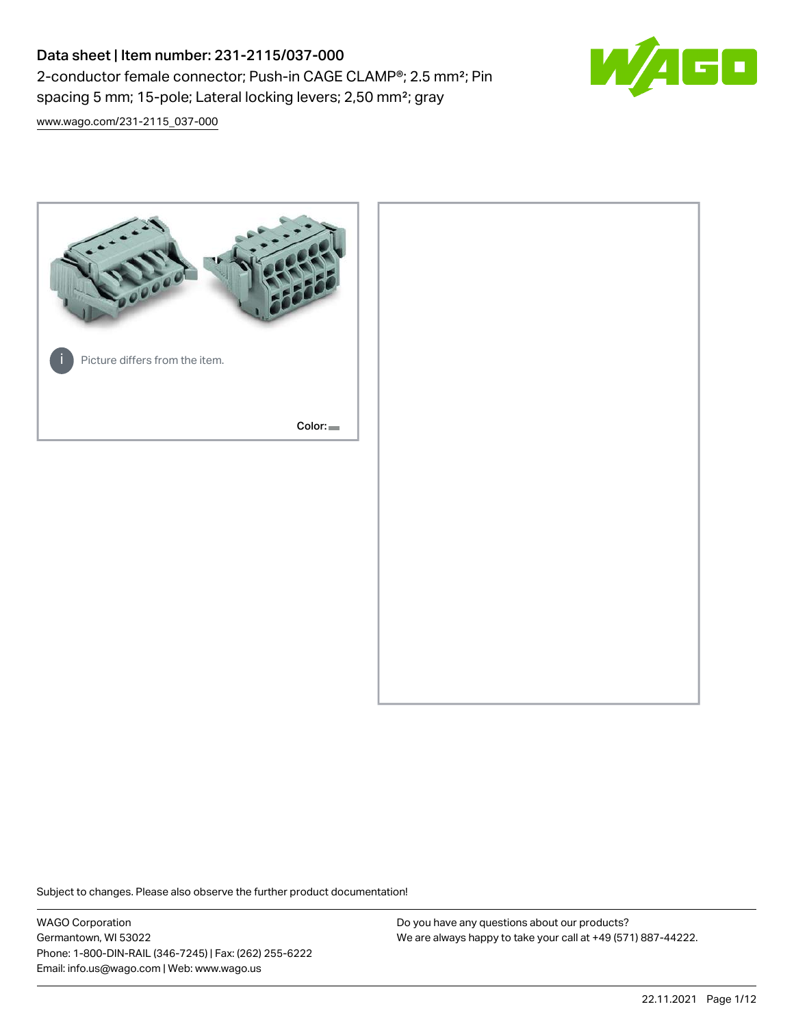# Data sheet | Item number: 231-2115/037-000 2-conductor female connector; Push-in CAGE CLAMP®; 2.5 mm²; Pin spacing 5 mm; 15-pole; Lateral locking levers; 2,50 mm²; gray



[www.wago.com/231-2115\\_037-000](http://www.wago.com/231-2115_037-000)



Subject to changes. Please also observe the further product documentation!

WAGO Corporation Germantown, WI 53022 Phone: 1-800-DIN-RAIL (346-7245) | Fax: (262) 255-6222 Email: info.us@wago.com | Web: www.wago.us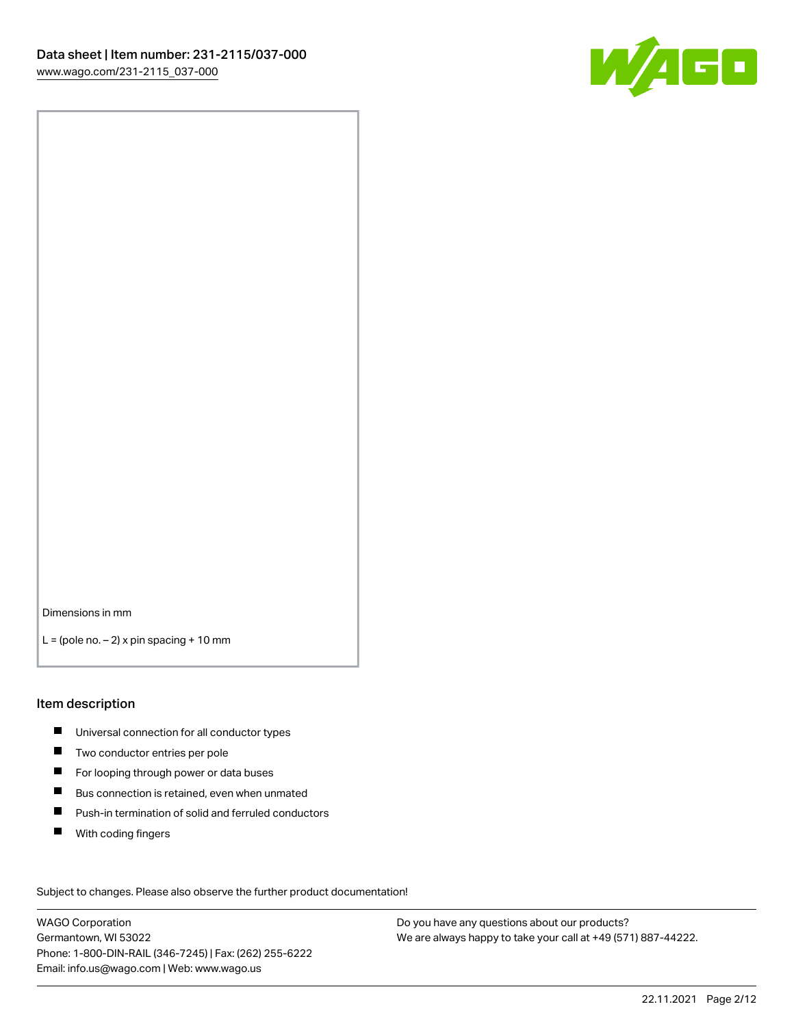

Dimensions in mm

 $L =$  (pole no.  $-2$ ) x pin spacing + 10 mm

#### Item description

- **Universal connection for all conductor types**
- **Two conductor entries per pole**
- $\blacksquare$ For looping through power or data buses
- $\blacksquare$ Bus connection is retained, even when unmated
- $\blacksquare$ Push-in termination of solid and ferruled conductors
- $\blacksquare$ With coding fingers

Subject to changes. Please also observe the further product documentation! Data

WAGO Corporation Germantown, WI 53022 Phone: 1-800-DIN-RAIL (346-7245) | Fax: (262) 255-6222 Email: info.us@wago.com | Web: www.wago.us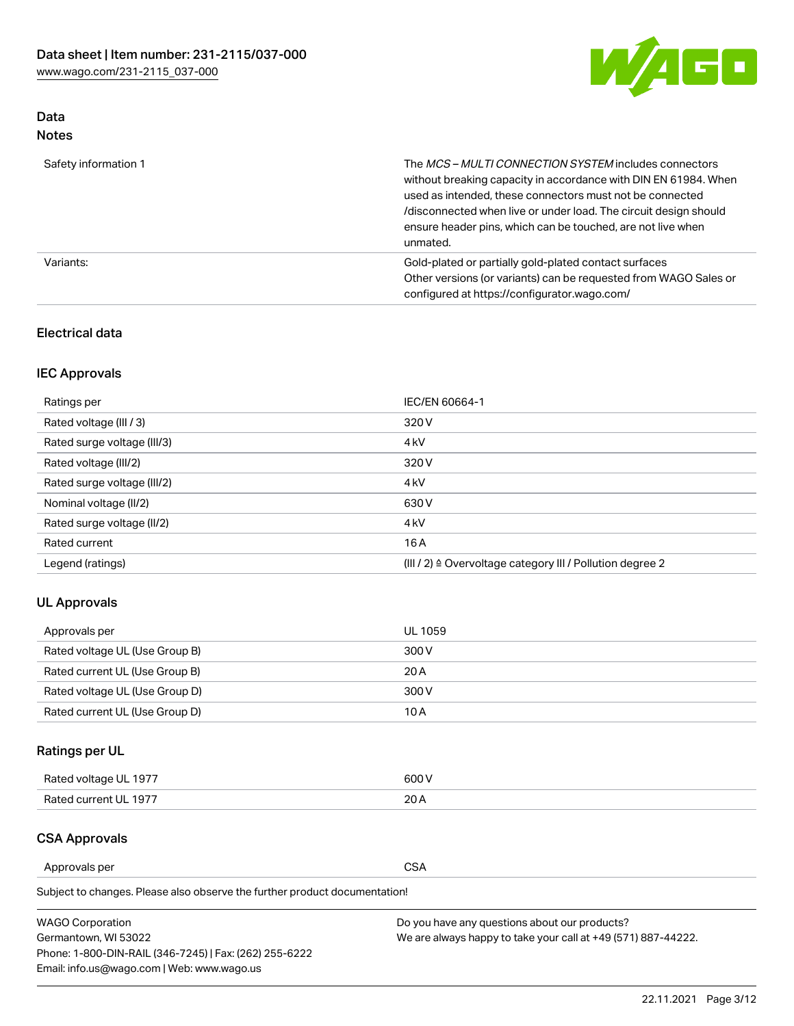

## Data Notes

| Safety information 1 | The <i>MCS – MULTI CONNECTION SYSTEM</i> includes connectors<br>without breaking capacity in accordance with DIN EN 61984. When<br>used as intended, these connectors must not be connected<br>/disconnected when live or under load. The circuit design should<br>ensure header pins, which can be touched, are not live when<br>unmated. |
|----------------------|--------------------------------------------------------------------------------------------------------------------------------------------------------------------------------------------------------------------------------------------------------------------------------------------------------------------------------------------|
| Variants:            | Gold-plated or partially gold-plated contact surfaces<br>Other versions (or variants) can be requested from WAGO Sales or<br>configured at https://configurator.wago.com/                                                                                                                                                                  |

### Electrical data

## IEC Approvals

| Ratings per                 | IEC/EN 60664-1                                                        |
|-----------------------------|-----------------------------------------------------------------------|
| Rated voltage (III / 3)     | 320 V                                                                 |
| Rated surge voltage (III/3) | 4 <sub>k</sub> V                                                      |
| Rated voltage (III/2)       | 320 V                                                                 |
| Rated surge voltage (III/2) | 4 <sub>k</sub> V                                                      |
| Nominal voltage (II/2)      | 630 V                                                                 |
| Rated surge voltage (II/2)  | 4 <sub>k</sub> V                                                      |
| Rated current               | 16 A                                                                  |
| Legend (ratings)            | $(III / 2)$ $\triangle$ Overvoltage category III / Pollution degree 2 |

### UL Approvals

| Approvals per                  | UL 1059 |
|--------------------------------|---------|
| Rated voltage UL (Use Group B) | 300 V   |
| Rated current UL (Use Group B) | 20 A    |
| Rated voltage UL (Use Group D) | 300 V   |
| Rated current UL (Use Group D) | 10 A    |

## Ratings per UL

| Rated voltage UL 1977 | 600 V |
|-----------------------|-------|
| Rated current UL 1977 | nn.   |

### CSA Approvals

Approvals per CSA

Subject to changes. Please also observe the further product documentation!

| <b>WAGO Corporation</b>                                | Do you have any questions about our products?                 |
|--------------------------------------------------------|---------------------------------------------------------------|
| Germantown, WI 53022                                   | We are always happy to take your call at +49 (571) 887-44222. |
| Phone: 1-800-DIN-RAIL (346-7245)   Fax: (262) 255-6222 |                                                               |
| Email: info.us@wago.com   Web: www.wago.us             |                                                               |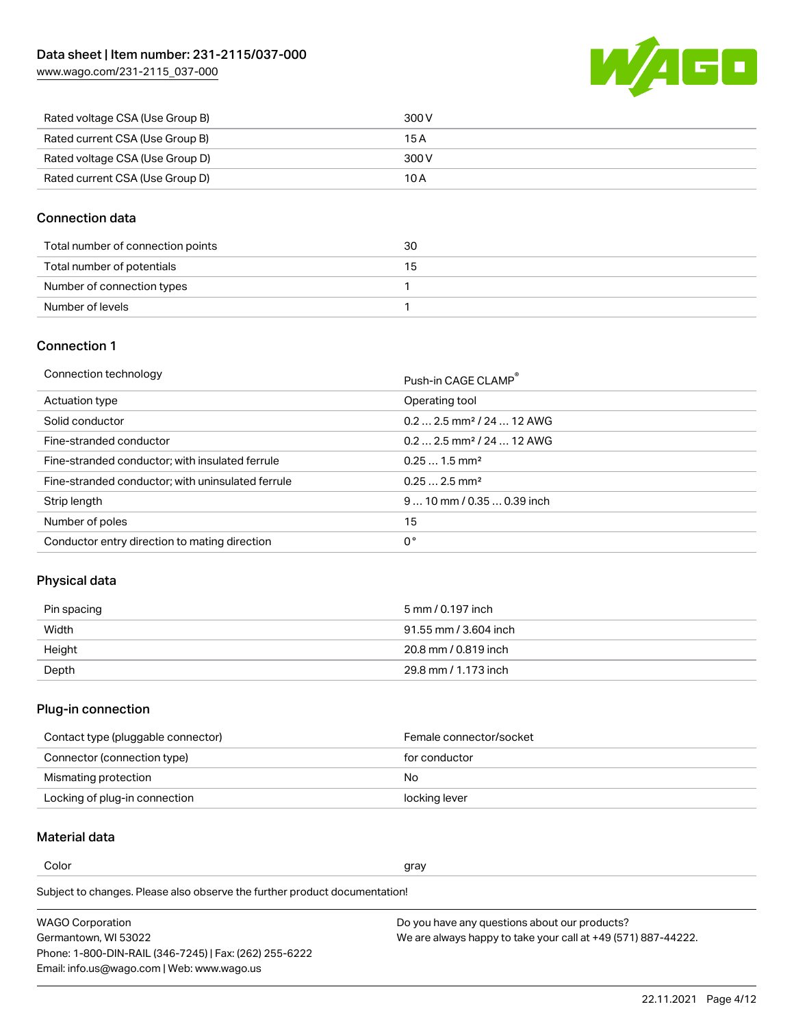W/AGO

| www.wago.com/231-2115_037-000 |  |
|-------------------------------|--|
|                               |  |

| Rated voltage CSA (Use Group B) | 300 V |
|---------------------------------|-------|
| Rated current CSA (Use Group B) | 15 A  |
| Rated voltage CSA (Use Group D) | 300 V |
| Rated current CSA (Use Group D) | 10 A  |

### Connection data

| Total number of connection points | 30 |
|-----------------------------------|----|
| Total number of potentials        | 15 |
| Number of connection types        |    |
| Number of levels                  |    |

### Connection 1

| Connection technology |  |
|-----------------------|--|
|                       |  |

| Connection technology                             | Push-in CAGE CLAMP®                   |
|---------------------------------------------------|---------------------------------------|
| Actuation type                                    | Operating tool                        |
| Solid conductor                                   | $0.22.5$ mm <sup>2</sup> / 24  12 AWG |
| Fine-stranded conductor                           | $0.22.5$ mm <sup>2</sup> / 24  12 AWG |
| Fine-stranded conductor; with insulated ferrule   | $0.251.5$ mm <sup>2</sup>             |
| Fine-stranded conductor; with uninsulated ferrule | $0.252.5$ mm <sup>2</sup>             |
| Strip length                                      | $9 10$ mm $/ 0.35 0.39$ inch          |
| Number of poles                                   | 15                                    |
| Conductor entry direction to mating direction     | 0°                                    |

## Physical data

| Pin spacing | 5 mm / 0.197 inch     |
|-------------|-----------------------|
| Width       | 91.55 mm / 3.604 inch |
| Height      | 20.8 mm / 0.819 inch  |
| Depth       | 29.8 mm / 1.173 inch  |

## Plug-in connection

| Contact type (pluggable connector) | Female connector/socket |
|------------------------------------|-------------------------|
| Connector (connection type)        | for conductor           |
| Mismating protection               | No                      |
| Locking of plug-in connection      | locking lever           |

### Material data

Color and the color of the color of the color of the color of the color of the color of the color of the color

Subject to changes. Please also observe the further product documentation! Material group I

| <b>WAGO Corporation</b>                                | Do you have any questions about our products?                 |
|--------------------------------------------------------|---------------------------------------------------------------|
| Germantown, WI 53022                                   | We are always happy to take your call at +49 (571) 887-44222. |
| Phone: 1-800-DIN-RAIL (346-7245)   Fax: (262) 255-6222 |                                                               |
| Email: info.us@wago.com   Web: www.wago.us             |                                                               |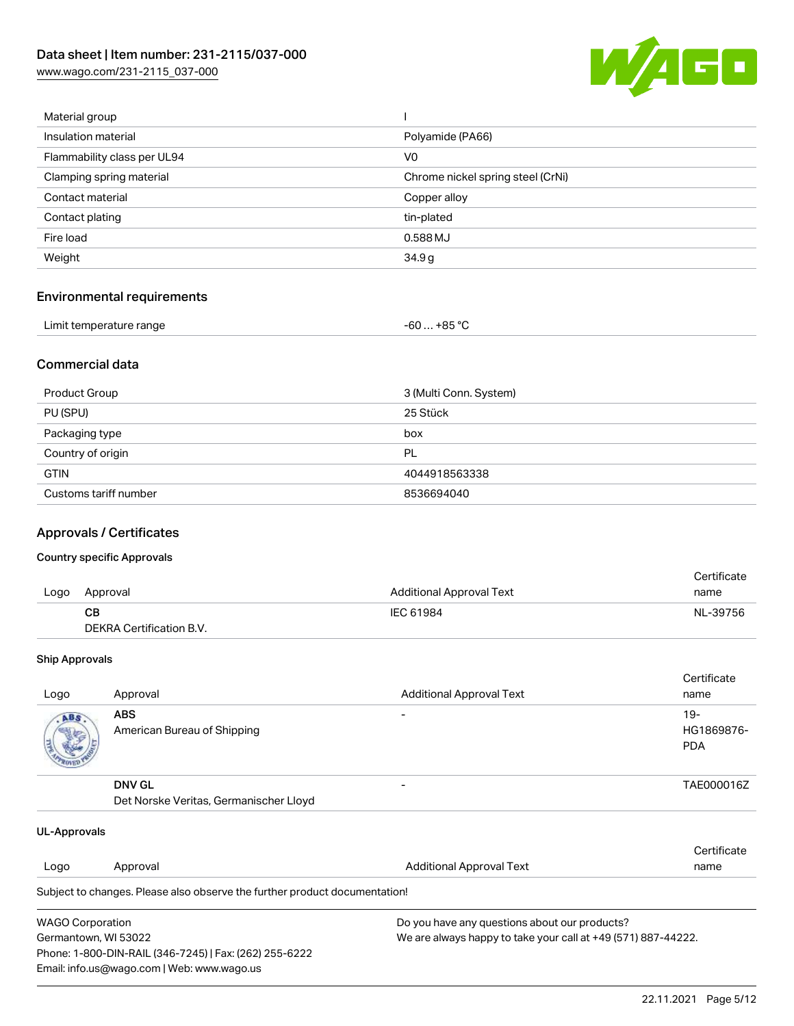[www.wago.com/231-2115\\_037-000](http://www.wago.com/231-2115_037-000)



| Material group              |                                   |
|-----------------------------|-----------------------------------|
| Insulation material         | Polyamide (PA66)                  |
| Flammability class per UL94 | V0                                |
| Clamping spring material    | Chrome nickel spring steel (CrNi) |
| Contact material            | Copper alloy                      |
| Contact plating             | tin-plated                        |
| Fire load                   | 0.588 MJ                          |
| Weight                      | 34.9g                             |
|                             |                                   |

## Environmental requirements

| Limit temperature range | $-60+85 °C$ |  |
|-------------------------|-------------|--|
|-------------------------|-------------|--|

### Commercial data

| Product Group         | 3 (Multi Conn. System) |
|-----------------------|------------------------|
| PU (SPU)              | 25 Stück               |
| Packaging type        | box                    |
| Country of origin     | PL                     |
| <b>GTIN</b>           | 4044918563338          |
| Customs tariff number | 8536694040             |

## Approvals / Certificates

### Country specific Approvals

|      |                          |                                 | Certificate |
|------|--------------------------|---------------------------------|-------------|
| Logo | Approval                 | <b>Additional Approval Text</b> | name        |
|      | CВ                       | IEC 61984                       | NL-39756    |
|      | DEKRA Certification B.V. |                                 |             |

#### Ship Approvals

| Logo | Approval                                                | <b>Additional Approval Text</b> | Certificate<br>name                |
|------|---------------------------------------------------------|---------------------------------|------------------------------------|
| ABS. | <b>ABS</b><br>American Bureau of Shipping               |                                 | $19 -$<br>HG1869876-<br><b>PDA</b> |
|      | <b>DNV GL</b><br>Det Norske Veritas, Germanischer Lloyd |                                 | TAE000016Z                         |

| UL-Approvals            |                                                                            |                                                               |             |  |
|-------------------------|----------------------------------------------------------------------------|---------------------------------------------------------------|-------------|--|
|                         |                                                                            |                                                               | Certificate |  |
| Logo                    | Approval                                                                   | Additional Approval Text                                      | name        |  |
|                         | Subject to changes. Please also observe the further product documentation! |                                                               |             |  |
| <b>WAGO Corporation</b> |                                                                            | Do you have any questions about our products?                 |             |  |
| Germantown, WI 53022    |                                                                            | We are always happy to take your call at +49 (571) 887-44222. |             |  |
|                         | Phone: 1-800-DIN-RAIL (346-7245)   Fax: (262) 255-6222                     |                                                               |             |  |
|                         | Email: info.us@wago.com   Web: www.wago.us                                 |                                                               |             |  |

22.11.2021 Page 5/12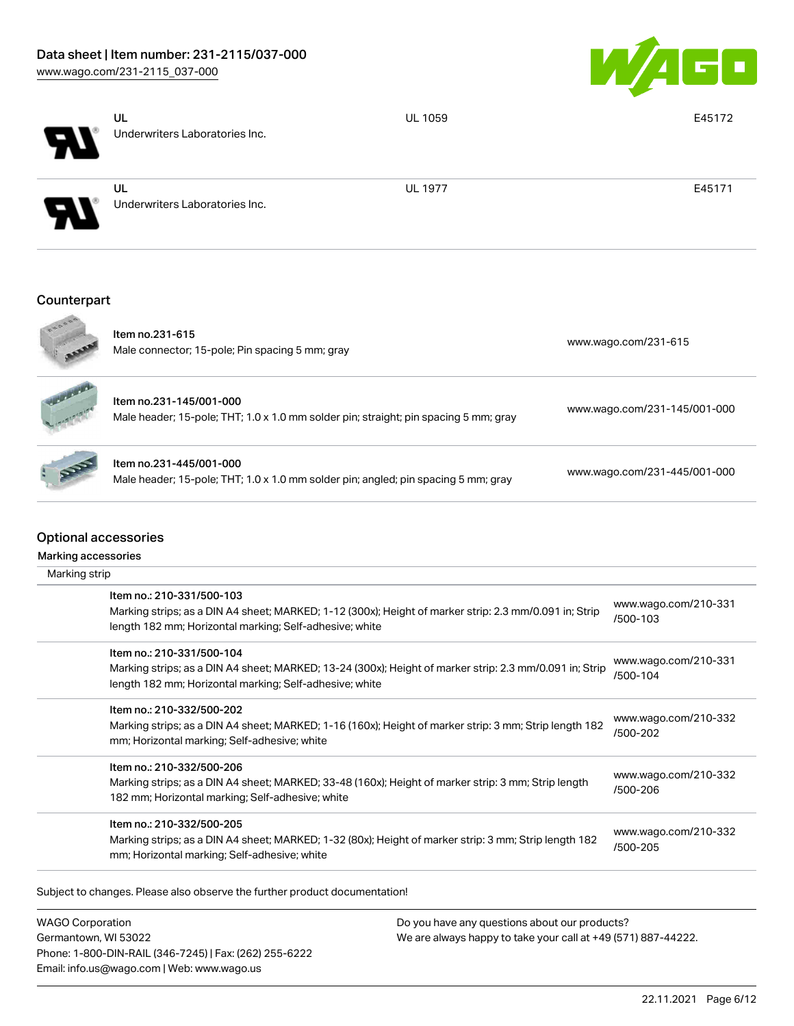

|                                                    | UL<br>Underwriters Laboratories Inc.                                                                                                                                                            | <b>UL 1059</b> | E45172                           |
|----------------------------------------------------|-------------------------------------------------------------------------------------------------------------------------------------------------------------------------------------------------|----------------|----------------------------------|
|                                                    | UL<br>Underwriters Laboratories Inc.                                                                                                                                                            | <b>UL 1977</b> | E45171                           |
| Counterpart                                        |                                                                                                                                                                                                 |                |                                  |
|                                                    | Item no.231-615<br>Male connector; 15-pole; Pin spacing 5 mm; gray                                                                                                                              |                | www.wago.com/231-615             |
|                                                    | Item no.231-145/001-000<br>Male header; 15-pole; THT; 1.0 x 1.0 mm solder pin; straight; pin spacing 5 mm; gray                                                                                 |                | www.wago.com/231-145/001-000     |
|                                                    | Item no.231-445/001-000<br>Male header; 15-pole; THT; 1.0 x 1.0 mm solder pin; angled; pin spacing 5 mm; gray                                                                                   |                | www.wago.com/231-445/001-000     |
| <b>Optional accessories</b><br>Marking accessories |                                                                                                                                                                                                 |                |                                  |
| Marking strip                                      |                                                                                                                                                                                                 |                |                                  |
|                                                    | Item no.: 210-331/500-103<br>Marking strips; as a DIN A4 sheet; MARKED; 1-12 (300x); Height of marker strip: 2.3 mm/0.091 in; Strip<br>length 182 mm; Horizontal marking; Self-adhesive; white  |                | www.wago.com/210-331<br>/500-103 |
|                                                    |                                                                                                                                                                                                 |                |                                  |
|                                                    | Item no.: 210-331/500-104<br>Marking strips; as a DIN A4 sheet; MARKED; 13-24 (300x); Height of marker strip: 2.3 mm/0.091 in; Strip<br>length 182 mm; Horizontal marking; Self-adhesive; white |                | www.wago.com/210-331<br>/500-104 |
|                                                    | Item no.: 210-332/500-202<br>Marking strips; as a DIN A4 sheet; MARKED; 1-16 (160x); Height of marker strip: 3 mm; Strip length 182<br>mm; Horizontal marking; Self-adhesive; white             |                | www.wago.com/210-332<br>/500-202 |
|                                                    | Item no.: 210-332/500-206<br>Marking strips; as a DIN A4 sheet; MARKED; 33-48 (160x); Height of marker strip: 3 mm; Strip length<br>182 mm; Horizontal marking; Self-adhesive; white            |                | www.wago.com/210-332<br>/500-206 |

Subject to changes. Please also observe the further product documentation!

WAGO Corporation Germantown, WI 53022 Phone: 1-800-DIN-RAIL (346-7245) | Fax: (262) 255-6222 Email: info.us@wago.com | Web: www.wago.us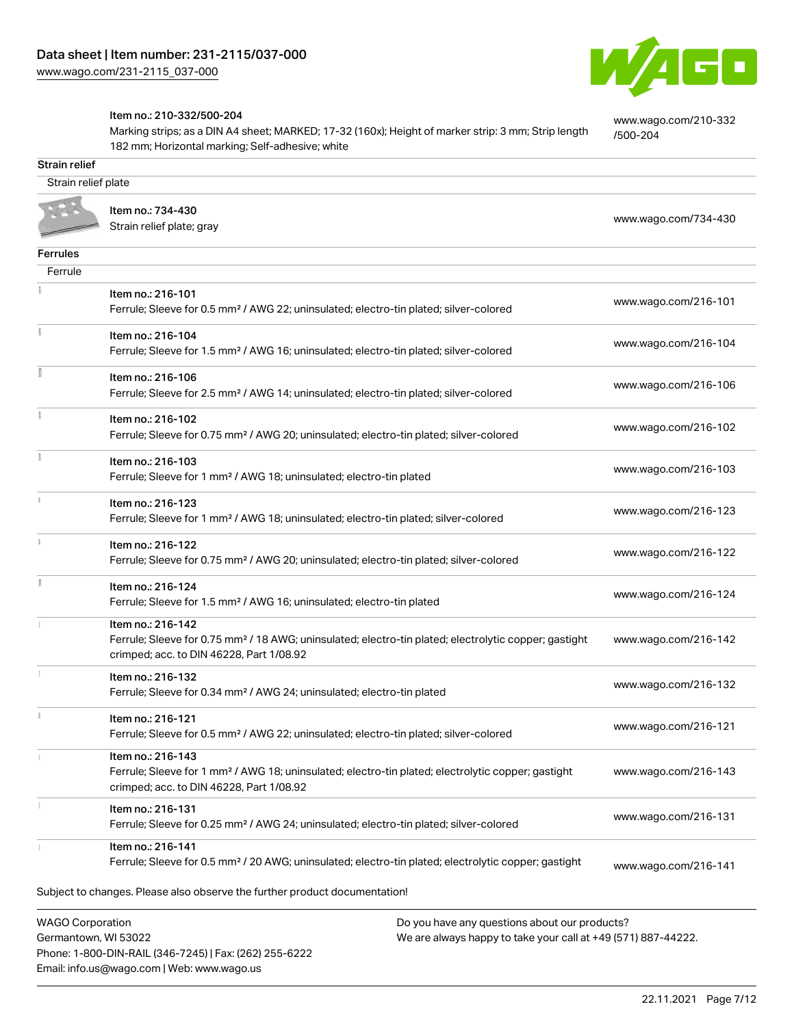

[www.wago.com/210-332](http://www.wago.com/210-332/500-204)

[/500-204](http://www.wago.com/210-332/500-204)

#### Item no.: 210-332/500-204

Phone: 1-800-DIN-RAIL (346-7245) | Fax: (262) 255-6222

Email: info.us@wago.com | Web: www.wago.us

Marking strips; as a DIN A4 sheet; MARKED; 17-32 (160x); Height of marker strip: 3 mm; Strip length 182 mm; Horizontal marking; Self-adhesive; white

Strain relief Strain relief plate Item no.: 734-430 Normical Politics (Particular Politics Press, 2001)<br>Strain relief plate; gray [www.wago.com/734-430](http://www.wago.com/734-430) Ferrules Ferrule  $\frac{1}{2}$ Item no.: 216-101 Ferrule; Sleeve for 0.5 mm² / AWG 22; uninsulated; electro-tin plated; silver-colored [www.wago.com/216-101](http://www.wago.com/216-101) Item no.: 216-104 Ferrule; Sleeve for 1.5 mm² / AWG 16; uninsulated; electro-tin plated; silver-colored [www.wago.com/216-104](http://www.wago.com/216-104) Item no.: 216-106 Ferrule; Sleeve for 2.5 mm² / AWG 14; uninsulated; electro-tin plated; silver-colored [www.wago.com/216-106](http://www.wago.com/216-106) Item no.: 216-102 Ferrule; Sleeve for 0.75 mm² / AWG 20; uninsulated; electro-tin plated; silver-colored [www.wago.com/216-102](http://www.wago.com/216-102) Item no.: 216-103 Ferrule; Sleeve for 1 mm² / AWG 18; uninsulated; electro-tin plated [www.wago.com/216-103](http://www.wago.com/216-103) Item no.: 216-123 Ferrule; Sleeve for 1 mm² / AWG 18; uninsulated; electro-tin plated; silver-colored [www.wago.com/216-123](http://www.wago.com/216-123) Item no.: 216-122 Ferrule; Sleeve for 0.75 mm² / AWG 20; uninsulated; electro-tin plated; silver-colored [www.wago.com/216-122](http://www.wago.com/216-122) Item no.: 216-124 Ferrule; Sleeve for 1.5 mm<sup>2</sup> / AWG 16; uninsulated; electro-tin plated [www.wago.com/216-124](http://www.wago.com/216-124) Item no.: 216-142 Ferrule; Sleeve for 0.75 mm² / 18 AWG; uninsulated; electro-tin plated; electrolytic copper; gastight [www.wago.com/216-142](http://www.wago.com/216-142) crimped; acc. to DIN 46228, Part 1/08.92 Item no.: 216-132 Ferrule; Sleeve for 0.34 mm² / AWG 24; uninsulated; electro-tin plated [www.wago.com/216-132](http://www.wago.com/216-132) Item no.: 216-121 Ferrule; Sleeve for 0.5 mm² / AWG 22; uninsulated; electro-tin plated; silver-colored [www.wago.com/216-121](http://www.wago.com/216-121) Item no.: 216-143 Ferrule; Sleeve for 1 mm² / AWG 18; uninsulated; electro-tin plated; electrolytic copper; gastight [www.wago.com/216-143](http://www.wago.com/216-143) crimped; acc. to DIN 46228, Part 1/08.92 Item no.: 216-131 Ferrule; Sleeve for 0.25 mm² / AWG 24; uninsulated; electro-tin plated; silver-colored [www.wago.com/216-131](http://www.wago.com/216-131) Item no.: 216-141 Ferrule; Sleeve for 0.5 mm<sup>2</sup> / 20 AWG; uninsulated; electro-tin plated; electrolytic copper; gastight [www.wago.com/216-141](http://www.wago.com/216-141)Subject to changes. Please also observe the further product documentation! WAGO Corporation Do you have any questions about our products? Germantown, WI 53022 We are always happy to take your call at +49 (571) 887-44222.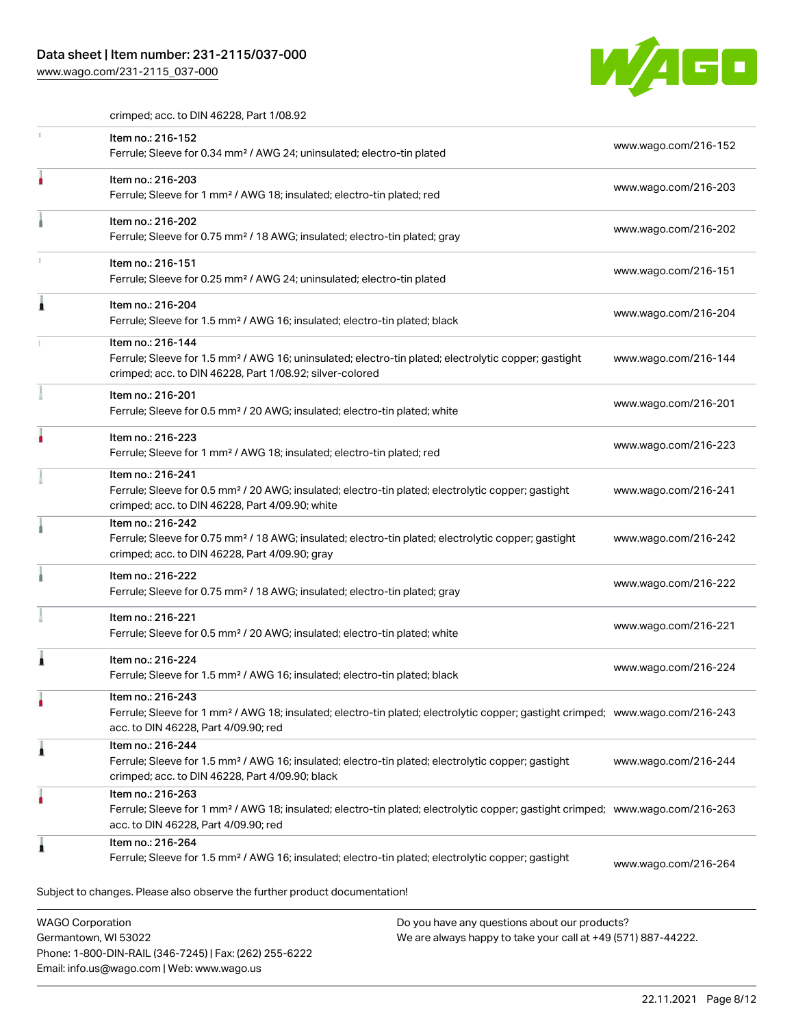### Data sheet | Item number: 231-2115/037-000

Phone: 1-800-DIN-RAIL (346-7245) | Fax: (262) 255-6222

Email: info.us@wago.com | Web: www.wago.us

[www.wago.com/231-2115\\_037-000](http://www.wago.com/231-2115_037-000)



crimped; acc. to DIN 46228, Part 1/08.92

|                         | Item no.: 216-152<br>Ferrule; Sleeve for 0.34 mm <sup>2</sup> / AWG 24; uninsulated; electro-tin plated                                                                                                 |                                                                                                                | www.wago.com/216-152 |
|-------------------------|---------------------------------------------------------------------------------------------------------------------------------------------------------------------------------------------------------|----------------------------------------------------------------------------------------------------------------|----------------------|
|                         | Item no.: 216-203<br>Ferrule; Sleeve for 1 mm <sup>2</sup> / AWG 18; insulated; electro-tin plated; red                                                                                                 |                                                                                                                | www.wago.com/216-203 |
|                         | Item no.: 216-202<br>Ferrule; Sleeve for 0.75 mm <sup>2</sup> / 18 AWG; insulated; electro-tin plated; gray                                                                                             |                                                                                                                | www.wago.com/216-202 |
|                         | Item no.: 216-151<br>Ferrule; Sleeve for 0.25 mm <sup>2</sup> / AWG 24; uninsulated; electro-tin plated                                                                                                 |                                                                                                                | www.wago.com/216-151 |
|                         | Item no.: 216-204<br>Ferrule; Sleeve for 1.5 mm <sup>2</sup> / AWG 16; insulated; electro-tin plated; black                                                                                             |                                                                                                                | www.wago.com/216-204 |
|                         | Item no.: 216-144<br>Ferrule; Sleeve for 1.5 mm <sup>2</sup> / AWG 16; uninsulated; electro-tin plated; electrolytic copper; gastight<br>crimped; acc. to DIN 46228, Part 1/08.92; silver-colored       |                                                                                                                | www.wago.com/216-144 |
|                         | Item no.: 216-201<br>Ferrule; Sleeve for 0.5 mm <sup>2</sup> / 20 AWG; insulated; electro-tin plated; white                                                                                             |                                                                                                                | www.wago.com/216-201 |
|                         | Item no.: 216-223<br>Ferrule; Sleeve for 1 mm <sup>2</sup> / AWG 18; insulated; electro-tin plated; red                                                                                                 |                                                                                                                | www.wago.com/216-223 |
|                         | Item no.: 216-241<br>Ferrule; Sleeve for 0.5 mm <sup>2</sup> / 20 AWG; insulated; electro-tin plated; electrolytic copper; gastight<br>crimped; acc. to DIN 46228, Part 4/09.90; white                  |                                                                                                                | www.wago.com/216-241 |
|                         | Item no.: 216-242<br>Ferrule; Sleeve for 0.75 mm <sup>2</sup> / 18 AWG; insulated; electro-tin plated; electrolytic copper; gastight<br>crimped; acc. to DIN 46228, Part 4/09.90; gray                  |                                                                                                                | www.wago.com/216-242 |
|                         | Item no.: 216-222<br>Ferrule; Sleeve for 0.75 mm <sup>2</sup> / 18 AWG; insulated; electro-tin plated; gray                                                                                             |                                                                                                                | www.wago.com/216-222 |
|                         | Item no.: 216-221<br>Ferrule; Sleeve for 0.5 mm <sup>2</sup> / 20 AWG; insulated; electro-tin plated; white                                                                                             |                                                                                                                | www.wago.com/216-221 |
|                         | Item no.: 216-224<br>Ferrule; Sleeve for 1.5 mm <sup>2</sup> / AWG 16; insulated; electro-tin plated; black                                                                                             |                                                                                                                | www.wago.com/216-224 |
|                         | Item no.: 216-243<br>Ferrule; Sleeve for 1 mm <sup>2</sup> / AWG 18; insulated; electro-tin plated; electrolytic copper; gastight crimped; www.wago.com/216-243<br>acc. to DIN 46228, Part 4/09.90; red |                                                                                                                |                      |
| 1                       | Item no.: 216-244<br>Ferrule; Sleeve for 1.5 mm <sup>2</sup> / AWG 16; insulated; electro-tin plated; electrolytic copper; gastight<br>crimped; acc. to DIN 46228, Part 4/09.90; black                  |                                                                                                                | www.wago.com/216-244 |
|                         | Item no.: 216-263<br>Ferrule; Sleeve for 1 mm <sup>2</sup> / AWG 18; insulated; electro-tin plated; electrolytic copper; gastight crimped; www.wago.com/216-263<br>acc. to DIN 46228, Part 4/09.90; red |                                                                                                                |                      |
|                         | Item no.: 216-264<br>Ferrule; Sleeve for 1.5 mm <sup>2</sup> / AWG 16; insulated; electro-tin plated; electrolytic copper; gastight                                                                     |                                                                                                                | www.wago.com/216-264 |
|                         | Subject to changes. Please also observe the further product documentation!                                                                                                                              |                                                                                                                |                      |
| <b>WAGO Corporation</b> | Germantown, WI 53022                                                                                                                                                                                    | Do you have any questions about our products?<br>We are always happy to take your call at +49 (571) 887-44222. |                      |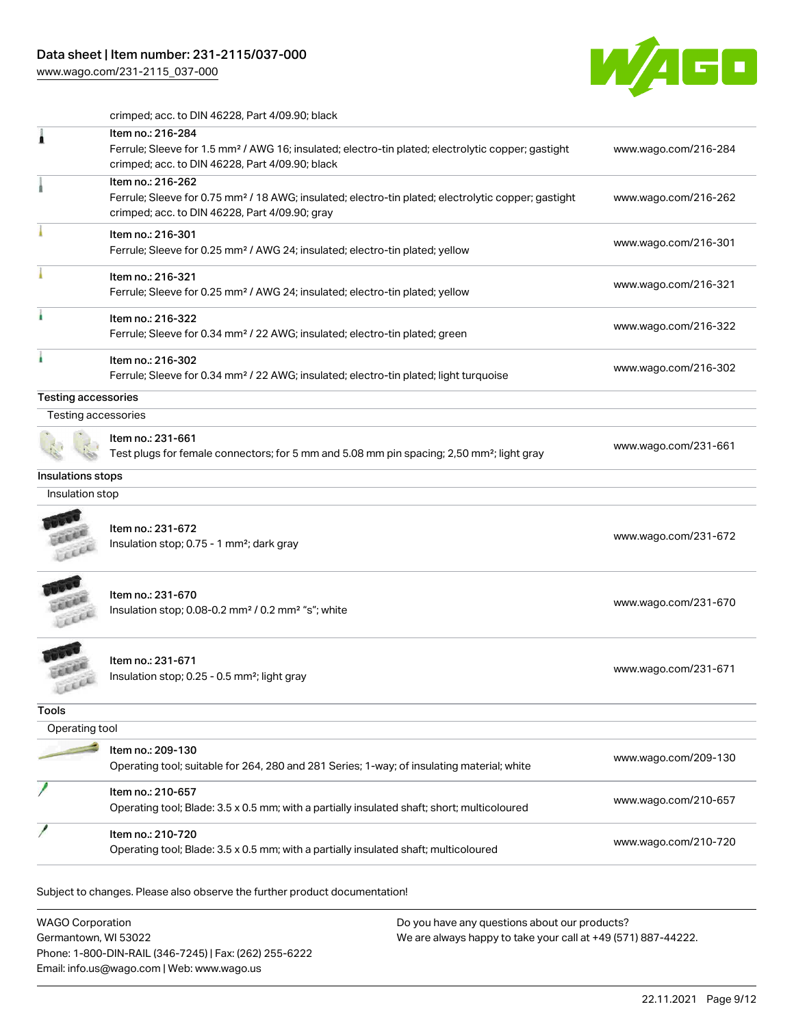[www.wago.com/231-2115\\_037-000](http://www.wago.com/231-2115_037-000)



crimped; acc. to DIN 46228, Part 4/09.90; black

|                            | Item no.: 216-284<br>Ferrule; Sleeve for 1.5 mm <sup>2</sup> / AWG 16; insulated; electro-tin plated; electrolytic copper; gastight<br>crimped; acc. to DIN 46228, Part 4/09.90; black | www.wago.com/216-284                         |
|----------------------------|----------------------------------------------------------------------------------------------------------------------------------------------------------------------------------------|----------------------------------------------|
|                            | Item no.: 216-262<br>Ferrule; Sleeve for 0.75 mm <sup>2</sup> / 18 AWG; insulated; electro-tin plated; electrolytic copper; gastight<br>crimped; acc. to DIN 46228, Part 4/09.90; gray | www.wago.com/216-262                         |
|                            | Item no.: 216-301<br>Ferrule; Sleeve for 0.25 mm <sup>2</sup> / AWG 24; insulated; electro-tin plated; yellow                                                                          | www.wago.com/216-301                         |
|                            | Item no.: 216-321<br>Ferrule; Sleeve for 0.25 mm <sup>2</sup> / AWG 24; insulated; electro-tin plated; yellow                                                                          | www.wago.com/216-321                         |
|                            | Item no.: 216-322<br>Ferrule; Sleeve for 0.34 mm <sup>2</sup> / 22 AWG; insulated; electro-tin plated; green                                                                           | www.wago.com/216-322                         |
|                            | Item no.: 216-302<br>Ferrule; Sleeve for 0.34 mm <sup>2</sup> / 22 AWG; insulated; electro-tin plated; light turquoise                                                                 | www.wago.com/216-302                         |
| <b>Testing accessories</b> |                                                                                                                                                                                        |                                              |
| Testing accessories        |                                                                                                                                                                                        |                                              |
|                            | Item no.: 231-661<br>Test plugs for female connectors; for 5 mm and 5.08 mm pin spacing; 2,50 mm <sup>2</sup> ; light gray                                                             | www.wago.com/231-661                         |
| Insulations stops          |                                                                                                                                                                                        |                                              |
| Insulation stop            |                                                                                                                                                                                        |                                              |
|                            | Item no.: 231-672<br>Insulation stop; 0.75 - 1 mm <sup>2</sup> ; dark gray                                                                                                             | www.wago.com/231-672                         |
|                            | Item no.: 231-670<br>Insulation stop; 0.08-0.2 mm <sup>2</sup> / 0.2 mm <sup>2</sup> "s"; white                                                                                        | www.wago.com/231-670                         |
|                            | Item no.: 231-671<br>Insulation stop; 0.25 - 0.5 mm <sup>2</sup> ; light gray                                                                                                          | www.wago.com/231-671                         |
|                            |                                                                                                                                                                                        |                                              |
|                            |                                                                                                                                                                                        |                                              |
| Operating tool             |                                                                                                                                                                                        |                                              |
|                            | Item no.: 209-130<br>Operating tool; suitable for 264, 280 and 281 Series; 1-way; of insulating material; white                                                                        |                                              |
| Tools                      | Item no.: 210-657<br>Operating tool; Blade: 3.5 x 0.5 mm; with a partially insulated shaft; short; multicoloured                                                                       | www.wago.com/209-130<br>www.wago.com/210-657 |

WAGO Corporation Germantown, WI 53022 Phone: 1-800-DIN-RAIL (346-7245) | Fax: (262) 255-6222 Email: info.us@wago.com | Web: www.wago.us Do you have any questions about our products? We are always happy to take your call at +49 (571) 887-44222.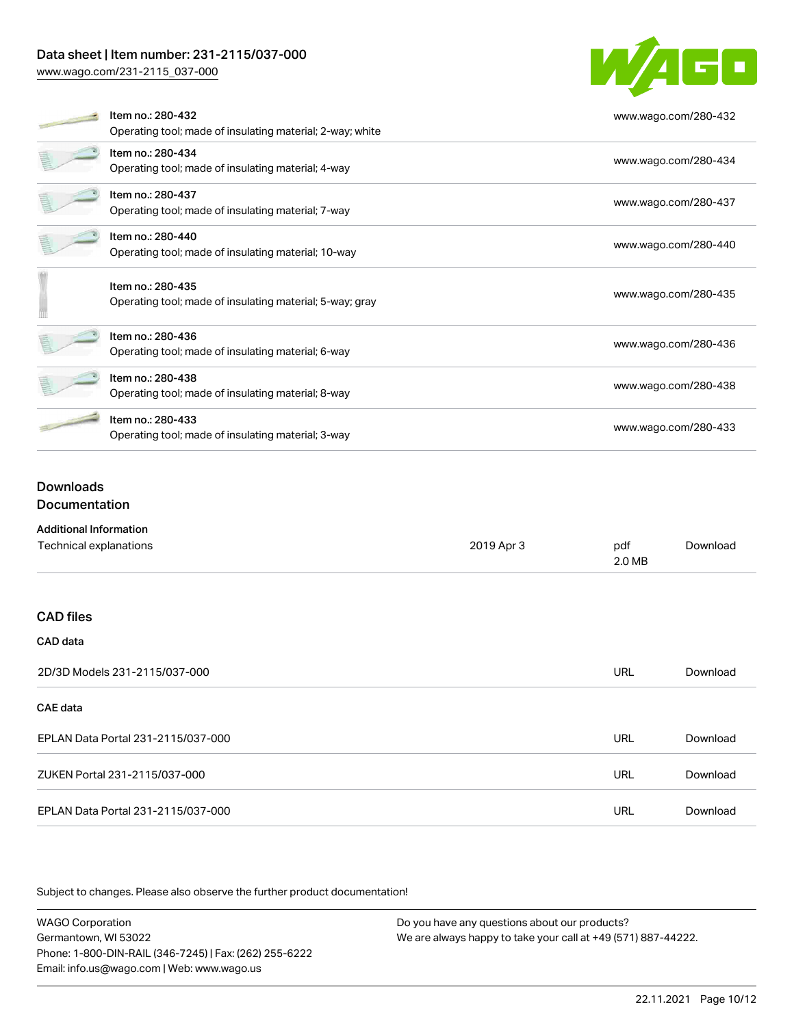## Data sheet | Item number: 231-2115/037-000

[www.wago.com/231-2115\\_037-000](http://www.wago.com/231-2115_037-000)



|  | Item no.: 280-432                                         | www.wago.com/280-432 |  |
|--|-----------------------------------------------------------|----------------------|--|
|  | Operating tool; made of insulating material; 2-way; white |                      |  |
|  | Item no.: 280-434                                         | www.wago.com/280-434 |  |
|  | Operating tool; made of insulating material; 4-way        |                      |  |
|  | Item no.: 280-437                                         |                      |  |
|  | Operating tool; made of insulating material; 7-way        | www.wago.com/280-437 |  |
|  | Item no.: 280-440                                         |                      |  |
|  | Operating tool; made of insulating material; 10-way       | www.wago.com/280-440 |  |
|  | Item no.: 280-435                                         |                      |  |
|  | Operating tool; made of insulating material; 5-way; gray  | www.wago.com/280-435 |  |
|  |                                                           |                      |  |
|  | Item no.: 280-436                                         | www.wago.com/280-436 |  |
|  | Operating tool; made of insulating material; 6-way        |                      |  |
|  | Item no.: 280-438                                         | www.wago.com/280-438 |  |
|  | Operating tool; made of insulating material; 8-way        |                      |  |
|  | Item no.: 280-433                                         |                      |  |
|  | Operating tool; made of insulating material; 3-way        | www.wago.com/280-433 |  |

### Downloads **Documentation**

| <b>Additional Information</b>      |            |               |          |
|------------------------------------|------------|---------------|----------|
| Technical explanations             | 2019 Apr 3 | pdf<br>2.0 MB | Download |
|                                    |            |               |          |
| <b>CAD files</b>                   |            |               |          |
| CAD data                           |            |               |          |
| 2D/3D Models 231-2115/037-000      |            | <b>URL</b>    | Download |
| <b>CAE</b> data                    |            |               |          |
| EPLAN Data Portal 231-2115/037-000 |            | <b>URL</b>    | Download |
| ZUKEN Portal 231-2115/037-000      |            | <b>URL</b>    | Download |
| EPLAN Data Portal 231-2115/037-000 |            | URL           | Download |

Subject to changes. Please also observe the further product documentation!

WAGO Corporation Germantown, WI 53022 Phone: 1-800-DIN-RAIL (346-7245) | Fax: (262) 255-6222 Email: info.us@wago.com | Web: www.wago.us Do you have any questions about our products? We are always happy to take your call at +49 (571) 887-44222.

22.11.2021 Page 10/12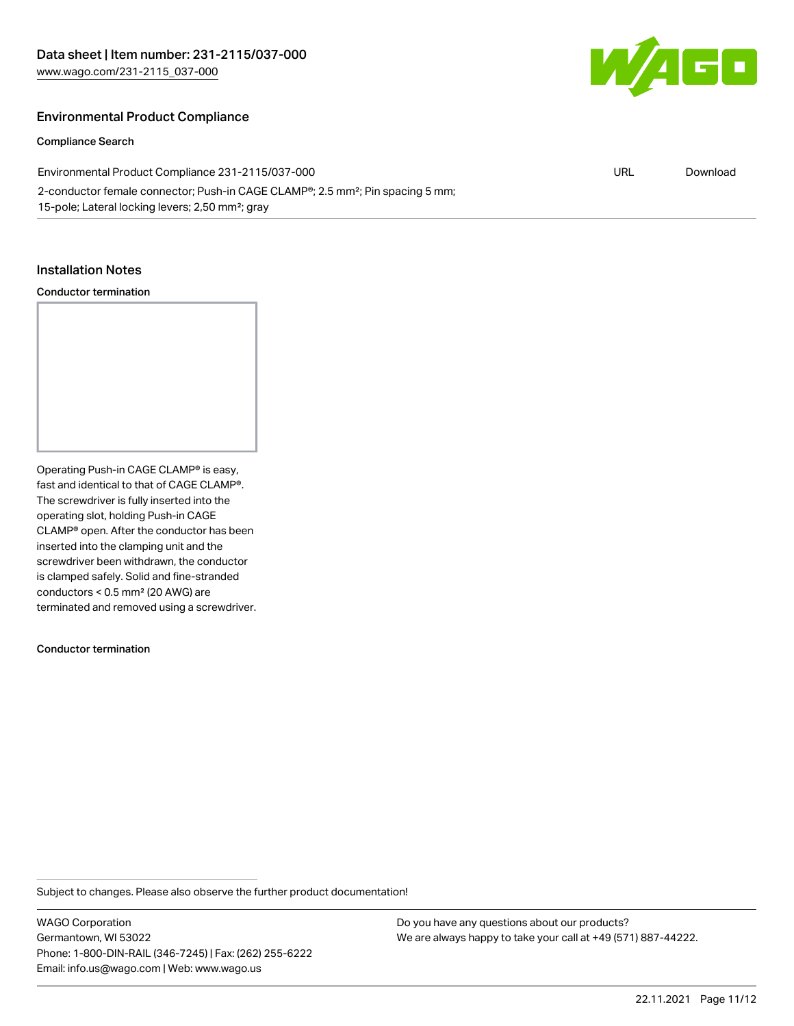

### Environmental Product Compliance

### Compliance Search

| Environmental Product Compliance 231-2115/037-000                                                       | URL | Download |
|---------------------------------------------------------------------------------------------------------|-----|----------|
| 2-conductor female connector; Push-in CAGE CLAMP <sup>®</sup> ; 2.5 mm <sup>2</sup> ; Pin spacing 5 mm; |     |          |
| 15-pole; Lateral locking levers; 2,50 mm <sup>2</sup> ; gray                                            |     |          |

#### Installation Notes

### Conductor termination

Operating Push-in CAGE CLAMP® is easy, fast and identical to that of CAGE CLAMP®. The screwdriver is fully inserted into the operating slot, holding Push-in CAGE CLAMP® open. After the conductor has been inserted into the clamping unit and the screwdriver been withdrawn, the conductor is clamped safely. Solid and fine-stranded conductors < 0.5 mm² (20 AWG) are terminated and removed using a screwdriver.

Conductor termination

Subject to changes. Please also observe the further product documentation!

WAGO Corporation Germantown, WI 53022 Phone: 1-800-DIN-RAIL (346-7245) | Fax: (262) 255-6222 Email: info.us@wago.com | Web: www.wago.us